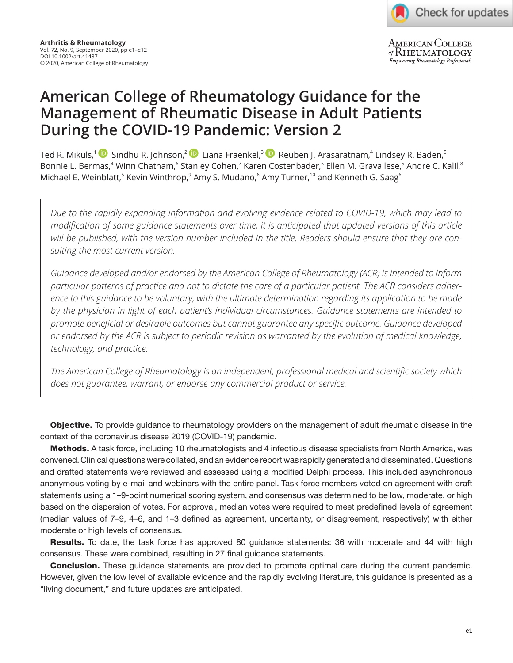AMERICAN COLLEGE of RHEUMATOLOGY Empowering Rheumatology Professionals

# **American College of Rheumatology Guidance for the Management of Rheumatic Disease in Adult Patients During the COVID-19 Pandemic: Version 2**

TedR. Mikuls,<sup>1 (</sup>• Sindhu R. Johnson,<sup>2 (</sup>• Liana Fraenkel,<sup>3 (</sup>• Reuben J. Arasaratnam,<sup>4</sup> Lindsey R. Baden,<sup>5</sup> Bonnie L. Bermas, $^4$  Winn Chatham, $^6$  Stanley Cohen, $^7$  Karen Costenbader, $^5$  Ellen M. Gravallese, $^5$  Andre C. Kalil, $^8$ Michael E. Weinblatt,<sup>5</sup> Kevin Winthrop,<sup>9</sup> Amy S. Mudano,<sup>6</sup> Amy Turner,<sup>10</sup> and Kenneth G. Saag<sup>6</sup>

*Due to the rapidly expanding information and evolving evidence related to COVID-19, which may lead to modification of some guidance statements over time, it is anticipated that updated versions of this article will be published, with the version number included in the title. Readers should ensure that they are consulting the most current version.*

*Guidance developed and/or endorsed by the American College of Rheumatology (ACR) is intended to inform particular patterns of practice and not to dictate the care of a particular patient. The ACR considers adherence to this guidance to be voluntary, with the ultimate determination regarding its application to be made by the physician in light of each patient's individual circumstances. Guidance statements are intended to promote beneficial or desirable outcomes but cannot guarantee any specific outcome. Guidance developed or endorsed by the ACR is subject to periodic revision as warranted by the evolution of medical knowledge, technology, and practice.*

*The American College of Rheumatology is an independent, professional medical and scientific society which does not guarantee, warrant, or endorse any commercial product or service.*

**Objective.** To provide guidance to rheumatology providers on the management of adult rheumatic disease in the context of the coronavirus disease 2019 (COVID-19) pandemic.

Methods. A task force, including 10 rheumatologists and 4 infectious disease specialists from North America, was convened. Clinical questions were collated, and an evidence report was rapidly generated and disseminated. Questions and drafted statements were reviewed and assessed using a modified Delphi process. This included asynchronous anonymous voting by e-mail and webinars with the entire panel. Task force members voted on agreement with draft statements using a 1–9-point numerical scoring system, and consensus was determined to be low, moderate, or high based on the dispersion of votes. For approval, median votes were required to meet predefined levels of agreement (median values of 7–9, 4–6, and 1–3 defined as agreement, uncertainty, or disagreement, respectively) with either moderate or high levels of consensus.

**Results.** To date, the task force has approved 80 guidance statements: 36 with moderate and 44 with high consensus. These were combined, resulting in 27 final guidance statements.

**Conclusion.** These guidance statements are provided to promote optimal care during the current pandemic. However, given the low level of available evidence and the rapidly evolving literature, this guidance is presented as a "living document," and future updates are anticipated.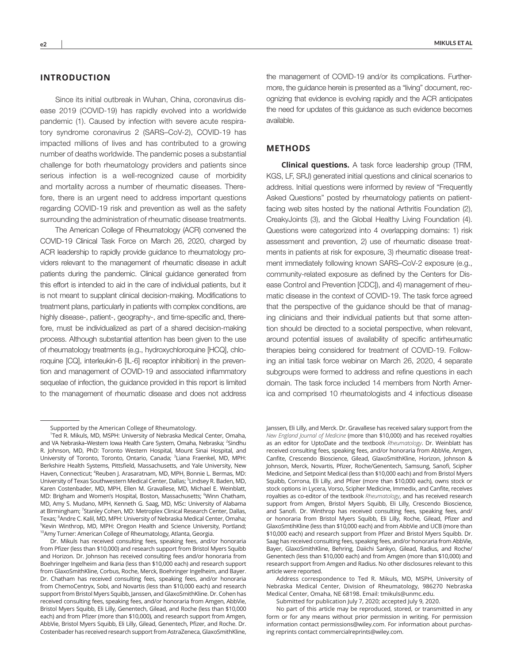# **INTRODUCTION**

Since its initial outbreak in Wuhan, China, coronavirus disease 2019 (COVID-19) has rapidly evolved into a worldwide pandemic (1). Caused by infection with severe acute respiratory syndrome coronavirus 2 (SARS–CoV-2), COVID-19 has impacted millions of lives and has contributed to a growing number of deaths worldwide. The pandemic poses a substantial challenge for both rheumatology providers and patients since serious infection is a well-recognized cause of morbidity and mortality across a number of rheumatic diseases. Therefore, there is an urgent need to address important questions regarding COVID-19 risk and prevention as well as the safety surrounding the administration of rheumatic disease treatments.

The American College of Rheumatology (ACR) convened the COVID-19 Clinical Task Force on March 26, 2020, charged by ACR leadership to rapidly provide guidance to rheumatology providers relevant to the management of rheumatic disease in adult patients during the pandemic. Clinical guidance generated from this effort is intended to aid in the care of individual patients, but it is not meant to supplant clinical decision-making. Modifications to treatment plans, particularly in patients with complex conditions, are highly disease-, patient-, geography-, and time-specific and, therefore, must be individualized as part of a shared decision-making process. Although substantial attention has been given to the use of rheumatology treatments (e.g., hydroxychloroquine [HCQ], chloroquine [CQ], interleukin-6 [IL-6] receptor inhibition) in the prevention and management of COVID-19 and associated inflammatory sequelae of infection, the guidance provided in this report is limited to the management of rheumatic disease and does not address

Dr. Mikuls has received consulting fees, speaking fees, and/or honoraria from Pfizer (less than \$10,000) and research support from Bristol Myers Squibb and Horizon. Dr. Johnson has received consulting fees and/or honoraria from Boehringer Ingelheim and Ikaria (less than \$10,000 each) and research support from GlaxoSmithKline, Corbus, Roche, Merck, Boehringer Ingelheim, and Bayer. Dr. Chatham has received consulting fees, speaking fees, and/or honoraria from ChemoCentryx, Sobi, and Novartis (less than \$10,000 each) and research support from Bristol Myers Squibb, Janssen, and GlaxoSmithKline. Dr. Cohen has received consulting fees, speaking fees, and/or honoraria from Amgen, AbbVie, Bristol Myers Squibb, Eli Lilly, Genentech, Gilead, and Roche (less than \$10,000 each) and from Pfizer (more than \$10,000), and research support from Amgen, AbbVie, Bristol Myers Squibb, Eli Lilly, Gilead, Genentech, Pfizer, and Roche. Dr. Costenbader has received research support from AstraZeneca, GlaxoSmithKline,

the management of COVID-19 and/or its complications. Furthermore, the guidance herein is presented as a "living" document, recognizing that evidence is evolving rapidly and the ACR anticipates the need for updates of this guidance as such evidence becomes available.

### **METHODS**

**Clinical questions.** A task force leadership group (TRM, KGS, LF, SRJ) generated initial questions and clinical scenarios to address. Initial questions were informed by review of "Frequently Asked Questions" posted by rheumatology patients on patientfacing web sites hosted by the national Arthritis Foundation (2), CreakyJoints (3), and the Global Healthy Living Foundation (4). Questions were categorized into 4 overlapping domains: 1) risk assessment and prevention, 2) use of rheumatic disease treatments in patients at risk for exposure, 3) rheumatic disease treatment immediately following known SARS–CoV-2 exposure (e.g., community-related exposure as defined by the Centers for Disease Control and Prevention [CDC]), and 4) management of rheumatic disease in the context of COVID-19. The task force agreed that the perspective of the guidance should be that of managing clinicians and their individual patients but that some attention should be directed to a societal perspective, when relevant, around potential issues of availability of specific antirheumatic therapies being considered for treatment of COVID-19. Following an initial task force webinar on March 26, 2020, 4 separate subgroups were formed to address and refine questions in each domain. The task force included 14 members from North America and comprised 10 rheumatologists and 4 infectious disease

Janssen, Eli Lilly, and Merck. Dr. Gravallese has received salary support from the *New England Journal of Medicine* (more than \$10,000) and has received royalties as an editor for UptoDate and the textbook *Rheumatology*. Dr. Weinblatt has received consulting fees, speaking fees, and/or honoraria from AbbVie, Amgen, Canfite, Crescendo Bioscience, Gilead, GlaxoSmithKline, Horizon, Johnson & Johnson, Merck, Novartis, Pfizer, Roche/Genentech, Samsung, Sanofi, Scipher Medicine, and Setpoint Medical (less than \$10,000 each) and from Bristol Myers Squibb, Corrona, Eli Lilly, and Pfizer (more than \$10,000 each), owns stock or stock options in Lycera, Vorso, Scipher Medicine, Immedix, and Canfite, receives royalties as co-editor of the textbook *Rheumatology*, and has received research support from Amgen, Bristol Myers Squibb, Eli Lilly, Crescendo Bioscience, and Sanofi. Dr. Winthrop has received consulting fees, speaking fees, and/ or honoraria from Bristol Myers Squibb, Eli Lilly, Roche, Gilead, Pfizer and GlaxoSmtihKline (less than \$10,000 each) and from AbbVie and UCB (more than \$10,000 each) and research support from Pfizer and Bristol Myers Squibb. Dr. Saag has received consulting fees, speaking fees, and/or honoraria from AbbVie, Bayer, GlaxoSmithKline, Behring, Daiichi Sankyo, Gilead, Radius, and Roche/ Genentech (less than \$10,000 each) and from Amgen (more than \$10,000) and research support from Amgen and Radius. No other disclosures relevant to this article were reported.

Address correspondence to Ted R. Mikuls, MD, MSPH, University of Nebraska Medical Center, Division of Rheumatology, 986270 Nebraska Medical Center, Omaha, NE 68198. Email: [tmikuls@unmc.edu](mailto:tmikuls@unmc.edu).

Submitted for publication July 7, 2020; accepted July 9, 2020.

No part of this article may be reproduced, stored, or transmitted in any form or for any means without prior permission in writing. For permission information contact [permissions@wiley.com](mailto:permissions@wiley.com). For information about purchasing reprints contact [commercialreprints@wiley.com.](mailto:commercialreprints@wiley.com)

Supported by the American College of Rheumatology.

<sup>1</sup> Ted R. Mikuls, MD, MSPH: University of Nebraska Medical Center, Omaha, and VA Nebraska–Western Iowa Health Care System, Omaha, Nebraska; <sup>2</sup>Sindhu R. Johnson, MD, PhD: Toronto Western Hospital, Mount Sinai Hospital, and University of Toronto, Toronto, Ontario, Canada; <sup>3</sup>Liana Fraenkel, MD, MPH: Berkshire Health Systems, Pittsfield, Massachusetts, and Yale University, New Haven, Connecticut; <sup>4</sup>Reuben J. Arasaratnam, MD, MPH, Bonnie L. Bermas, MD: University of Texas Southwestern Medical Center, Dallas; <sup>5</sup>Lindsey R. Baden, MD, Karen Costenbader, MD, MPH, Ellen M. Gravallese, MD, Michael E. Weinblatt, MD: Brigham and Women's Hospital, Boston, Massachusetts; <sup>6</sup>Winn Chatham, MD, Amy S. Mudano, MPH, Kenneth G. Saag, MD, MSc: University of Alabama at Birmingham; <sup>7</sup>Stanley Cohen, MD: Metroplex Clinical Research Center, Dallas, Texas; <sup>8</sup>Andre C. Kalil, MD, MPH: University of Nebraska Medical Center, Omaha; 9 Kevin Winthrop, MD, MPH: Oregon Health and Science University, Portland; <sup>10</sup>Amy Turner: American College of Rheumatology, Atlanta, Georgia.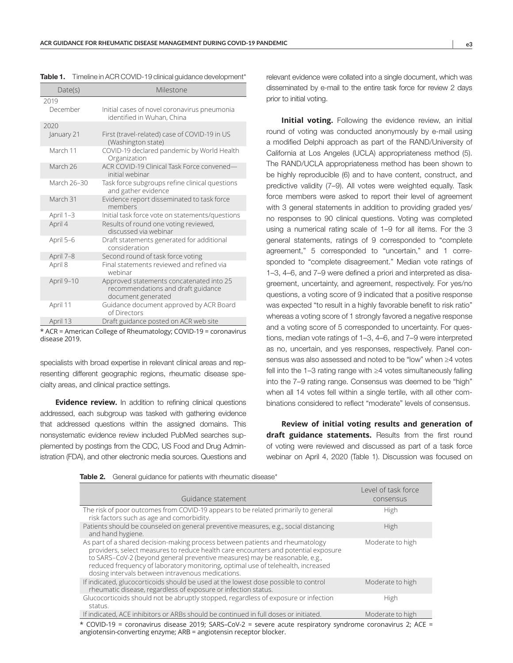| Date(s)     | Milestone                                                                                            |
|-------------|------------------------------------------------------------------------------------------------------|
| 2019        |                                                                                                      |
| December    | Initial cases of novel coronavirus pneumonia<br>identified in Wuhan, China                           |
| 2020        |                                                                                                      |
| January 21  | First (travel-related) case of COVID-19 in US<br>(Washington state)                                  |
| March 11    | COVID-19 declared pandemic by World Health<br>Organization                                           |
| March 26    | ACR COVID-19 Clinical Task Force convened-<br>initial webinar                                        |
| March 26-30 | Task force subgroups refine clinical questions<br>and gather evidence                                |
| March 31    | Evidence report disseminated to task force<br>members                                                |
| April 1-3   | Initial task force vote on statements/questions                                                      |
| April 4     | Results of round one voting reviewed,<br>discussed via webinar                                       |
| April 5-6   | Draft statements generated for additional<br>consideration                                           |
| April 7-8   | Second round of task force voting                                                                    |
| April 8     | Final statements reviewed and refined via<br>webinar                                                 |
| April 9-10  | Approved statements concatenated into 25<br>recommendations and draft guidance<br>document generated |
| April 11    | Guidance document approved by ACR Board<br>of Directors                                              |
| April 13    | Draft guidance posted on ACR web site                                                                |

Table 1. Timeline in ACR COVID-19 clinical quidance development<sup>\*</sup>

\* ACR = American College of Rheumatology; COVID-19 = coronavirus disease 2019.

specialists with broad expertise in relevant clinical areas and representing different geographic regions, rheumatic disease specialty areas, and clinical practice settings.

**Evidence review.** In addition to refining clinical questions addressed, each subgroup was tasked with gathering evidence that addressed questions within the assigned domains. This nonsystematic evidence review included PubMed searches supplemented by postings from the CDC, US Food and Drug Administration (FDA), and other electronic media sources. Questions and relevant evidence were collated into a single document, which was disseminated by e-mail to the entire task force for review 2 days prior to initial voting.

**Initial voting.** Following the evidence review, an initial round of voting was conducted anonymously by e-mail using a modified Delphi approach as part of the RAND/University of California at Los Angeles (UCLA) appropriateness method (5). The RAND/UCLA appropriateness method has been shown to be highly reproducible (6) and to have content, construct, and predictive validity (7–9). All votes were weighted equally. Task force members were asked to report their level of agreement with 3 general statements in addition to providing graded yes/ no responses to 90 clinical questions. Voting was completed using a numerical rating scale of 1–9 for all items. For the 3 general statements, ratings of 9 corresponded to "complete agreement," 5 corresponded to "uncertain," and 1 corresponded to "complete disagreement." Median vote ratings of 1–3, 4–6, and 7–9 were defined a priori and interpreted as disagreement, uncertainty, and agreement, respectively. For yes/no questions, a voting score of 9 indicated that a positive response was expected "to result in a highly favorable benefit to risk ratio" whereas a voting score of 1 strongly favored a negative response and a voting score of 5 corresponded to uncertainty. For questions, median vote ratings of 1–3, 4–6, and 7–9 were interpreted as no, uncertain, and yes responses, respectively. Panel consensus was also assessed and noted to be "low" when ≥4 votes fell into the 1–3 rating range with ≥4 votes simultaneously falling into the 7–9 rating range. Consensus was deemed to be "high" when all 14 votes fell within a single tertile, with all other combinations considered to reflect "moderate" levels of consensus.

**Review of initial voting results and generation of**  draft guidance statements. Results from the first round of voting were reviewed and discussed as part of a task force webinar on April 4, 2020 (Table 1). Discussion was focused on

Table 2. General quidance for patients with rheumatic disease\*

| Guidance statement                                                                                                                                                                                                                                                                                                                                                                          | Level of task force<br>consensus |
|---------------------------------------------------------------------------------------------------------------------------------------------------------------------------------------------------------------------------------------------------------------------------------------------------------------------------------------------------------------------------------------------|----------------------------------|
| The risk of poor outcomes from COVID-19 appears to be related primarily to general<br>risk factors such as age and comorbidity.                                                                                                                                                                                                                                                             | High                             |
| Patients should be counseled on general preventive measures, e.g., social distancing<br>and hand hygiene.                                                                                                                                                                                                                                                                                   | High                             |
| As part of a shared decision-making process between patients and rheumatology<br>providers, select measures to reduce health care encounters and potential exposure<br>to SARS-CoV-2 (beyond general preventive measures) may be reasonable, e.g.,<br>reduced frequency of laboratory monitoring, optimal use of telehealth, increased<br>dosing intervals between intravenous medications. | Moderate to high                 |
| If indicated, glucocorticoids should be used at the lowest dose possible to control<br>rheumatic disease, regardless of exposure or infection status.                                                                                                                                                                                                                                       | Moderate to high                 |
| Glucocorticoids should not be abruptly stopped, regardless of exposure or infection<br>status.                                                                                                                                                                                                                                                                                              | High                             |
| If indicated, ACE inhibitors or ARBs should be continued in full doses or initiated.<br>$\pm$ COUD 10 = concerning disease 2010; CADC CeV2 = course cause membranes medicines concerning 2: ACE                                                                                                                                                                                             | Moderate to high                 |

\* COVID-19 = coronavirus disease 2019; SARS–CoV-2 = severe acute respiratory syndrome coronavirus 2; ACE = angiotensin-converting enzyme; ARB = angiotensin receptor blocker.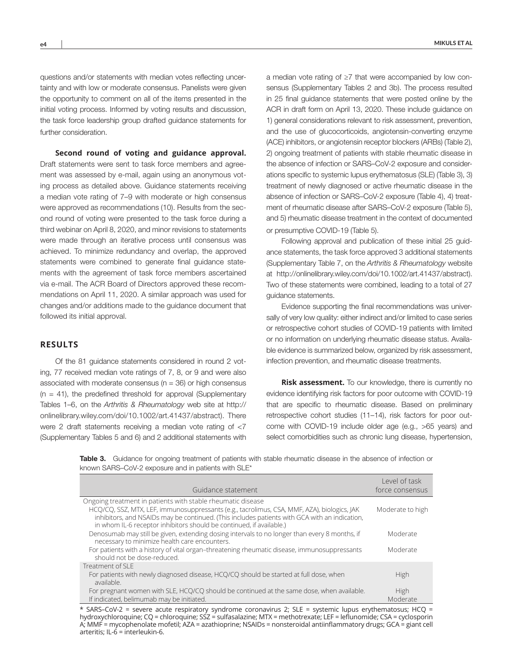questions and/or statements with median votes reflecting uncertainty and with low or moderate consensus. Panelists were given the opportunity to comment on all of the items presented in the initial voting process. Informed by voting results and discussion, the task force leadership group drafted guidance statements for further consideration.

**Second round of voting and guidance approval.** Draft statements were sent to task force members and agreement was assessed by e-mail, again using an anonymous voting process as detailed above. Guidance statements receiving a median vote rating of 7–9 with moderate or high consensus were approved as recommendations (10). Results from the second round of voting were presented to the task force during a third webinar on April 8, 2020, and minor revisions to statements were made through an iterative process until consensus was achieved. To minimize redundancy and overlap, the approved statements were combined to generate final guidance statements with the agreement of task force members ascertained via e-mail. The ACR Board of Directors approved these recommendations on April 11, 2020. A similar approach was used for changes and/or additions made to the guidance document that followed its initial approval.

# **RESULTS**

Of the 81 guidance statements considered in round 2 voting, 77 received median vote ratings of 7, 8, or 9 and were also associated with moderate consensus ( $n = 36$ ) or high consensus  $(n = 41)$ , the predefined threshold for approval (Supplementary Tables 1–6, on the *Arthritis & Rheumatology* web site at [http://](http://onlinelibrary.wiley.com/doi/10.1002/art.41437/abstract) [onlinelibrary.wiley.com/doi/10.1002/art.41437/abstract](http://onlinelibrary.wiley.com/doi/10.1002/art.41437/abstract)). There were 2 draft statements receiving a median vote rating of <7 (Supplementary Tables 5 and 6) and 2 additional statements with

a median vote rating of ≥7 that were accompanied by low consensus (Supplementary Tables 2 and 3b). The process resulted in 25 final guidance statements that were posted online by the ACR in draft form on April 13, 2020. These include guidance on 1) general considerations relevant to risk assessment, prevention, and the use of glucocorticoids, angiotensin-converting enzyme (ACE) inhibitors, or angiotensin receptor blockers (ARBs) (Table 2), 2) ongoing treatment of patients with stable rheumatic disease in the absence of infection or SARS–CoV-2 exposure and considerations specific to systemic lupus erythematosus (SLE) (Table 3), 3) treatment of newly diagnosed or active rheumatic disease in the absence of infection or SARS–CoV-2 exposure (Table 4), 4) treatment of rheumatic disease after SARS–CoV-2 exposure (Table 5), and 5) rheumatic disease treatment in the context of documented or presumptive COVID-19 (Table 5).

Following approval and publication of these initial 25 guidance statements, the task force approved 3 additional statements (Supplementary Table 7, on the *Arthritis & Rheumatology* website at <http://onlinelibrary.wiley.com/doi/10.1002/art.41437/abstract>). Two of these statements were combined, leading to a total of 27 guidance statements.

Evidence supporting the final recommendations was universally of very low quality: either indirect and/or limited to case series or retrospective cohort studies of COVID-19 patients with limited or no information on underlying rheumatic disease status. Available evidence is summarized below, organized by risk assessment, infection prevention, and rheumatic disease treatments.

**Risk assessment.** To our knowledge, there is currently no evidence identifying risk factors for poor outcome with COVID-19 that are specific to rheumatic disease. Based on preliminary retrospective cohort studies (11–14), risk factors for poor outcome with COVID-19 include older age (e.g., >65 years) and select comorbidities such as chronic lung disease, hypertension,

Table 3. Guidance for ongoing treatment of patients with stable rheumatic disease in the absence of infection or known SARS–CoV-2 exposure and in patients with SLE\*

| Guidance statement                                                                                                                                                                                                                                                                                                                  | Level of task<br>force consensus |
|-------------------------------------------------------------------------------------------------------------------------------------------------------------------------------------------------------------------------------------------------------------------------------------------------------------------------------------|----------------------------------|
| Ongoing treatment in patients with stable rheumatic disease<br>HCQ/CQ, SSZ, MTX, LEF, immunosuppressants (e.g., tacrolimus, CSA, MMF, AZA), biologics, JAK<br>inhibitors, and NSAIDs may be continued. (This includes patients with GCA with an indication,<br>in whom IL-6 receptor inhibitors should be continued, if available.) | Moderate to high                 |
| Denosumab may still be given, extending dosing intervals to no longer than every 8 months, if<br>necessary to minimize health care encounters.                                                                                                                                                                                      | Moderate                         |
| For patients with a history of vital organ-threatening rheumatic disease, immunosuppressants<br>should not be dose-reduced.                                                                                                                                                                                                         | Moderate                         |
| Treatment of SLF                                                                                                                                                                                                                                                                                                                    |                                  |
| For patients with newly diagnosed disease, HCQ/CQ should be started at full dose, when<br>available.                                                                                                                                                                                                                                | High                             |
| For pregnant women with SLE, HCQ/CQ should be continued at the same dose, when available.                                                                                                                                                                                                                                           | High                             |
| If indicated, belimumab may be initiated.                                                                                                                                                                                                                                                                                           | Moderate                         |

\* SARS–CoV-2 = severe acute respiratory syndrome coronavirus 2; SLE = systemic lupus erythematosus; HCQ = hydroxychloroquine; CQ = chloroquine; SSZ = sulfasalazine; MTX = methotrexate; LEF = leflunomide; CSA = cyclosporin A; MMF = mycophenolate mofetil; AZA = azathioprine; NSAIDs = nonsteroidal antiinflammatory drugs; GCA = giant cell arteritis; IL- $6$  = interleukin-6.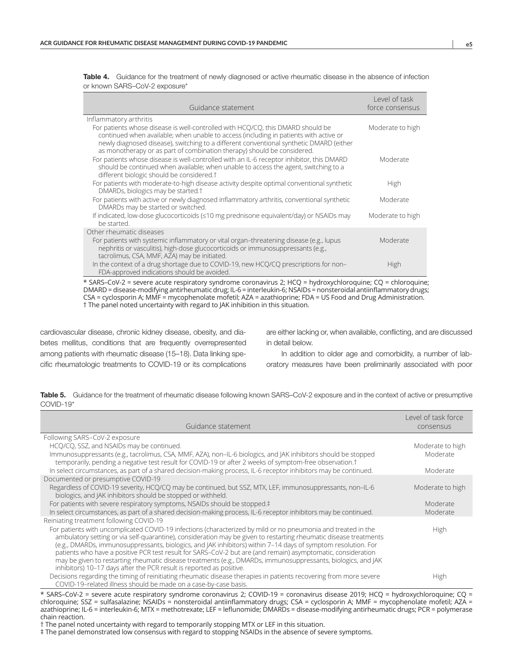| Guidance statement                                                                                                                                                                                                                                                                                                                             | Level of task<br>force consensus |  |
|------------------------------------------------------------------------------------------------------------------------------------------------------------------------------------------------------------------------------------------------------------------------------------------------------------------------------------------------|----------------------------------|--|
| Inflammatory arthritis                                                                                                                                                                                                                                                                                                                         |                                  |  |
| For patients whose disease is well-controlled with HCQ/CQ, this DMARD should be<br>continued when available; when unable to access (including in patients with active or<br>newly diagnosed disease), switching to a different conventional synthetic DMARD (either<br>as monotherapy or as part of combination therapy) should be considered. | Moderate to high                 |  |
| For patients whose disease is well-controlled with an IL-6 receptor inhibitor, this DMARD<br>should be continued when available; when unable to access the agent, switching to a<br>different biologic should be considered. <sup>†</sup>                                                                                                      | Moderate                         |  |
| For patients with moderate-to-high disease activity despite optimal conventional synthetic<br>DMARDs, biologics may be started. <sup>†</sup>                                                                                                                                                                                                   | <b>High</b>                      |  |
| For patients with active or newly diagnosed inflammatory arthritis, conventional synthetic<br>DMARDs may be started or switched.                                                                                                                                                                                                               | Moderate                         |  |
| If indicated, low-dose glucocorticoids $(\leq 10 \text{ mg}$ prednisone equivalent/day) or NSAIDs may<br>be started.                                                                                                                                                                                                                           | Moderate to high                 |  |
| Other rheumatic diseases                                                                                                                                                                                                                                                                                                                       |                                  |  |
| For patients with systemic inflammatory or vital organ-threatening disease (e.g., lupus<br>nephritis or vasculitis), high-dose glucocorticoids or immunosuppressants (e.g.,<br>tacrolimus, CSA, MMF, AZA) may be initiated.                                                                                                                    | Moderate                         |  |
| In the context of a drug shortage due to COVID-19, new HCQ/CQ prescriptions for non-<br>FDA-approved indications should be avoided.                                                                                                                                                                                                            | High                             |  |
| $*$ CADC CoV 2 = sovere acute respiratory syndrome coronavirus 2: HCO = bydrowyshloroguine: CO = shloroguing                                                                                                                                                                                                                                   |                                  |  |

Table 4. Guidance for the treatment of newly diagnosed or active rheumatic disease in the absence of infection or known SARS–CoV-2 exposure\*

\* SARS–CoV-2 = severe acute respiratory syndrome coronavirus 2; HCQ = hydroxychloroquine; CQ = chloroquine; DMARD = disease-modifying antirheumatic drug; IL-6 = interleukin-6; NSAIDs = nonsteroidal antiinflammatory drugs; CSA = cyclosporin A; MMF = mycophenolate mofetil; AZA = azathioprine; FDA = US Food and Drug Administration. † The panel noted uncertainty with regard to JAK inhibition in this situation.

cardiovascular disease, chronic kidney disease, obesity, and diabetes mellitus, conditions that are frequently overrepresented among patients with rheumatic disease (15–18). Data linking specific rheumatologic treatments to COVID-19 or its complications are either lacking or, when available, conflicting, and are discussed in detail below.

In addition to older age and comorbidity, a number of laboratory measures have been preliminarily associated with poor

Table 5. Guidance for the treatment of rheumatic disease following known SARS–CoV-2 exposure and in the context of active or presumptive COVID-19\*

| Guidance statement                                                                                                                                                                                                                                                                                                                                                                                                                                                                                                                                                                                                                                           | Level of task force<br>consensus |
|--------------------------------------------------------------------------------------------------------------------------------------------------------------------------------------------------------------------------------------------------------------------------------------------------------------------------------------------------------------------------------------------------------------------------------------------------------------------------------------------------------------------------------------------------------------------------------------------------------------------------------------------------------------|----------------------------------|
| Following SARS-CoV-2 exposure                                                                                                                                                                                                                                                                                                                                                                                                                                                                                                                                                                                                                                |                                  |
| HCO/CO, SSZ, and NSAIDs may be continued.                                                                                                                                                                                                                                                                                                                                                                                                                                                                                                                                                                                                                    | Moderate to high                 |
| Immunosuppressants (e.g., tacrolimus, CSA, MMF, AZA), non-IL-6 biologics, and JAK inhibitors should be stopped<br>temporarily, pending a negative test result for COVID-19 or after 2 weeks of symptom-free observation. <sup>†</sup>                                                                                                                                                                                                                                                                                                                                                                                                                        | Moderate                         |
| In select circumstances, as part of a shared decision-making process, IL-6 receptor inhibitors may be continued.                                                                                                                                                                                                                                                                                                                                                                                                                                                                                                                                             | Moderate                         |
| Documented or presumptive COVID-19                                                                                                                                                                                                                                                                                                                                                                                                                                                                                                                                                                                                                           |                                  |
| Regardless of COVID-19 severity, HCQ/CQ may be continued, but SSZ, MTX, LEF, immunosuppressants, non-IL-6<br>biologics, and JAK inhibitors should be stopped or withheld.                                                                                                                                                                                                                                                                                                                                                                                                                                                                                    | Moderate to high                 |
| For patients with severe respiratory symptoms, NSAIDs should be stopped.‡                                                                                                                                                                                                                                                                                                                                                                                                                                                                                                                                                                                    | Moderate                         |
| In select circumstances, as part of a shared decision-making process, IL-6 receptor inhibitors may be continued.                                                                                                                                                                                                                                                                                                                                                                                                                                                                                                                                             | Moderate                         |
| Reiniating treatment following COVID-19                                                                                                                                                                                                                                                                                                                                                                                                                                                                                                                                                                                                                      |                                  |
| For patients with uncomplicated COVID-19 infections (characterized by mild or no pneumonia and treated in the<br>ambulatory setting or via self-quarantine), consideration may be given to restarting rheumatic disease treatments<br>(e.g., DMARDs, immunosuppressants, biologics, and JAK inhibitors) within 7-14 days of symptom resolution. For<br>patients who have a positive PCR test result for SARS-CoV-2 but are (and remain) asymptomatic, consideration<br>may be given to restarting rheumatic disease treatments (e.g., DMARDs, immunosuppressants, biologics, and JAK<br>inhibitors) 10-17 days after the PCR result is reported as positive. | High                             |
| Decisions regarding the timing of reinitiating rheumatic disease therapies in patients recovering from more severe<br>COVID-19-related illness should be made on a case-by-case basis.                                                                                                                                                                                                                                                                                                                                                                                                                                                                       | High                             |

\* SARS–CoV-2 = severe acute respiratory syndrome coronavirus 2; COVID-19 = coronavirus disease 2019; HCQ = hydroxychloroquine; CQ = chloroquine; SSZ = sulfasalazine; NSAIDs = nonsteroidal antiinflammatory drugs; CSA = cyclosporin A; MMF = mycophenolate mofetil; AZA = azathioprine; IL-6 = interleukin-6; MTX = methotrexate; LEF = leflunomide; DMARDs = disease-modifying antirheumatic drugs; PCR = polymerase chain reaction.

† The panel noted uncertainty with regard to temporarily stopping MTX or LEF in this situation.

‡ The panel demonstrated low consensus with regard to stopping NSAIDs in the absence of severe symptoms.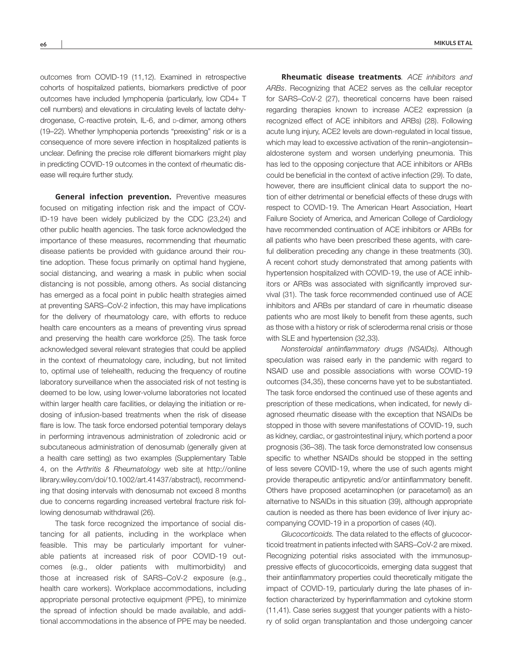outcomes from COVID-19 (11,12). Examined in retrospective cohorts of hospitalized patients, biomarkers predictive of poor outcomes have included lymphopenia (particularly, low CD4+ T cell numbers) and elevations in circulating levels of lactate dehydrogenase, C-reactive protein, IL-6, and D-dimer, among others (19–22). Whether lymphopenia portends "preexisting" risk or is a consequence of more severe infection in hospitalized patients is unclear. Defining the precise role different biomarkers might play in predicting COVID-19 outcomes in the context of rheumatic disease will require further study.

**General infection prevention.** Preventive measures focused on mitigating infection risk and the impact of COV-ID-19 have been widely publicized by the CDC (23,24) and other public health agencies. The task force acknowledged the importance of these measures, recommending that rheumatic disease patients be provided with guidance around their routine adoption. These focus primarily on optimal hand hygiene, social distancing, and wearing a mask in public when social distancing is not possible, among others. As social distancing has emerged as a focal point in public health strategies aimed at preventing SARS–CoV-2 infection, this may have implications for the delivery of rheumatology care, with efforts to reduce health care encounters as a means of preventing virus spread and preserving the health care workforce (25). The task force acknowledged several relevant strategies that could be applied in the context of rheumatology care, including, but not limited to, optimal use of telehealth, reducing the frequency of routine laboratory surveillance when the associated risk of not testing is deemed to be low, using lower-volume laboratories not located within larger health care facilities, or delaying the initiation or redosing of infusion-based treatments when the risk of disease flare is low. The task force endorsed potential temporary delays in performing intravenous administration of zoledronic acid or subcutaneous administration of denosumab (generally given at a health care setting) as two examples (Supplementary Table 4, on the *Arthritis & Rheumatology* web site at [http://online](http://onlinelibrary.wiley.com/doi/10.1002/art.41437/abstract) [library.wiley.com/doi/10.1002/art.41437/abstract\)](http://onlinelibrary.wiley.com/doi/10.1002/art.41437/abstract), recommending that dosing intervals with denosumab not exceed 8 months due to concerns regarding increased vertebral fracture risk following denosumab withdrawal (26).

The task force recognized the importance of social distancing for all patients, including in the workplace when feasible. This may be particularly important for vulnerable patients at increased risk of poor COVID-19 outcomes (e.g., older patients with multimorbidity) and those at increased risk of SARS–CoV-2 exposure (e.g., health care workers). Workplace accommodations, including appropriate personal protective equipment (PPE), to minimize the spread of infection should be made available, and additional accommodations in the absence of PPE may be needed.

**Rheumatic disease treatments***. ACE inhibitors and ARBs*. Recognizing that ACE2 serves as the cellular receptor for SARS–CoV-2 (27), theoretical concerns have been raised regarding therapies known to increase ACE2 expression (a recognized effect of ACE inhibitors and ARBs) (28). Following acute lung injury, ACE2 levels are down-regulated in local tissue, which may lead to excessive activation of the renin–angiotensin– aldosterone system and worsen underlying pneumonia. This has led to the opposing conjecture that ACE inhibitors or ARBs could be beneficial in the context of active infection (29). To date, however, there are insufficient clinical data to support the notion of either detrimental or beneficial effects of these drugs with respect to COVID-19. The American Heart Association, Heart Failure Society of America, and American College of Cardiology have recommended continuation of ACE inhibitors or ARBs for all patients who have been prescribed these agents, with careful deliberation preceding any change in these treatments (30). A recent cohort study demonstrated that among patients with hypertension hospitalized with COVID-19, the use of ACE inhibitors or ARBs was associated with significantly improved survival (31). The task force recommended continued use of ACE inhibitors and ARBs per standard of care in rheumatic disease patients who are most likely to benefit from these agents, such as those with a history or risk of scleroderma renal crisis or those with SLE and hypertension (32,33).

*Nonsteroidal antiinflammatory drugs (NSAIDs).* Although speculation was raised early in the pandemic with regard to NSAID use and possible associations with worse COVID-19 outcomes (34,35), these concerns have yet to be substantiated. The task force endorsed the continued use of these agents and prescription of these medications, when indicated, for newly diagnosed rheumatic disease with the exception that NSAIDs be stopped in those with severe manifestations of COVID-19, such as kidney, cardiac, or gastrointestinal injury, which portend a poor prognosis (36–38). The task force demonstrated low consensus specific to whether NSAIDs should be stopped in the setting of less severe COVID-19, where the use of such agents might provide therapeutic antipyretic and/or antiinflammatory benefit. Others have proposed acetaminophen (or paracetamol) as an alternative to NSAIDs in this situation (39), although appropriate caution is needed as there has been evidence of liver injury accompanying COVID-19 in a proportion of cases (40).

*Glucocorticoids.* The data related to the effects of glucocorticoid treatment in patients infected with SARS–CoV-2 are mixed. Recognizing potential risks associated with the immunosuppressive effects of glucocorticoids, emerging data suggest that their antiinflammatory properties could theoretically mitigate the impact of COVID-19, particularly during the late phases of infection characterized by hyperinflammation and cytokine storm (11,41). Case series suggest that younger patients with a history of solid organ transplantation and those undergoing cancer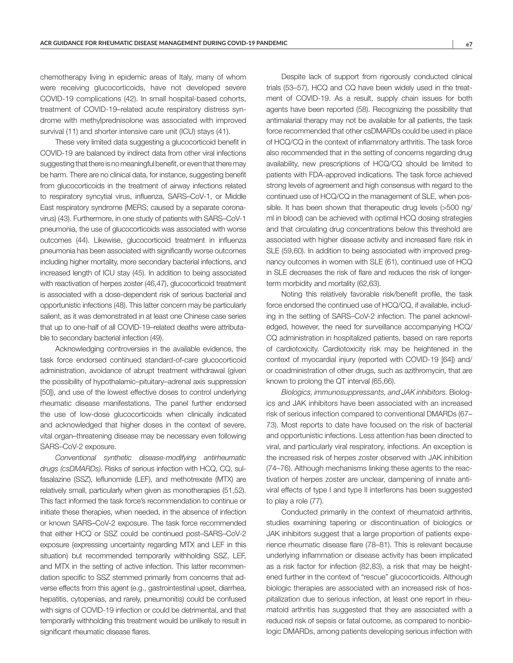chemotherapy living in epidemic areas of Italy, many of whom were receiving glucocorticoids, have not developed severe COVID-19 complications (42). In small hospital-based cohorts, treatment of COVID-19–related acute respiratory distress syndrome with methylprednisolone was associated with improved survival (11) and shorter intensive care unit (ICU) stays (41).

These very limited data suggesting a glucocorticoid benefit in COVID-19 are balanced by indirect data from other viral infections suggesting that there is no meaningful benefit, or even that there may be harm. There are no clinical data, for instance, suggesting benefit from glucocorticoids in the treatment of airway infections related to respiratory syncytial virus, influenza, SARS–CoV-1, or Middle East respiratory syndrome (MERS; caused by a separate coronavirus) (43). Furthermore, in one study of patients with SARS–CoV-1 pneumonia, the use of glucocorticoids was associated with worse outcomes (44). Likewise, glucocorticoid treatment in influenza pneumonia has been associated with significantly worse outcomes including higher mortality, more secondary bacterial infections, and increased length of ICU stay (45). In addition to being associated with reactivation of herpes zoster (46,47), glucocorticoid treatment is associated with a dose-dependent risk of serious bacterial and opportunistic infections (48). This latter concern may be particularly salient, as it was demonstrated in at least one Chinese case series that up to one-half of all COVID-19–related deaths were attributable to secondary bacterial infection (49).

Acknowledging controversies in the available evidence, the task force endorsed continued standard-of-care glucocorticoid administration, avoidance of abrupt treatment withdrawal (given the possibility of hypothalamic–pituitary–adrenal axis suppression [50]), and use of the lowest effective doses to control underlying rheumatic disease manifestations. The panel further endorsed the use of low-dose glucocorticoids when clinically indicated and acknowledged that higher doses in the context of severe, vital organ–threatening disease may be necessary even following SARS–CoV-2 exposure.

*Conventional synthetic disease-modifying antirheumatic drugs (csDMARDs).* Risks of serious infection with HCQ, CQ, sulfasalazine (SSZ), leflunomide (LEF), and methotrexate (MTX) are relatively small, particularly when given as monotherapies (51,52). This fact informed the task force's recommendation to continue or initiate these therapies, when needed, in the absence of infection or known SARS–CoV-2 exposure. The task force recommended that either HCQ or SSZ could be continued post–SARS–CoV-2 exposure (expressing uncertainty regarding MTX and LEF in this situation) but recommended temporarily withholding SSZ, LEF, and MTX in the setting of active infection. This latter recommendation specific to SSZ stemmed primarily from concerns that adverse effects from this agent (e.g., gastrointestinal upset, diarrhea, hepatitis, cytopenias, and rarely, pneumonitis) could be confused with signs of COVID-19 infection or could be detrimental, and that temporarily withholding this treatment would be unlikely to result in significant rheumatic disease flares.

Despite lack of support from rigorously conducted clinical trials (53–57), HCQ and CQ have been widely used in the treatment of COVID-19. As a result, supply chain issues for both agents have been reported (58). Recognizing the possibility that antimalarial therapy may not be available for all patients, the task force recommended that other csDMARDs could be used in place of HCQ/CQ in the context of inflammatory arthritis. The task force also recommended that in the setting of concerns regarding drug availability, new prescriptions of HCQ/CQ should be limited to patients with FDA-approved indications. The task force achieved strong levels of agreement and high consensus with regard to the continued use of HCQ/CQ in the management of SLE, when possible. It has been shown that therapeutic drug levels (>500 ng/ ml in blood) can be achieved with optimal HCQ dosing strategies and that circulating drug concentrations below this threshold are associated with higher disease activity and increased flare risk in SLE (59,60). In addition to being associated with improved pregnancy outcomes in women with SLE (61), continued use of HCQ in SLE decreases the risk of flare and reduces the risk of longerterm morbidity and mortality (62,63).

Noting this relatively favorable risk/benefit profile, the task force endorsed the continued use of HCQ/CQ, if available, including in the setting of SARS–CoV-2 infection. The panel acknowledged, however, the need for surveillance accompanying HCQ/ CQ administration in hospitalized patients, based on rare reports of cardiotoxicity. Cardiotoxicity risk may be heightened in the context of myocardial injury (reported with COVID-19 [64]) and/ or coadministration of other drugs, such as azithromycin, that are known to prolong the QT interval (65,66).

*Biologics, immunosuppressants, and JAK inhibitors.* Biologics and JAK inhibitors have been associated with an increased risk of serious infection compared to conventional DMARDs (67– 73). Most reports to date have focused on the risk of bacterial and opportunistic infections. Less attention has been directed to viral, and particularly viral respiratory, infections. An exception is the increased risk of herpes zoster observed with JAK inhibition (74–76). Although mechanisms linking these agents to the reactivation of herpes zoster are unclear, dampening of innate antiviral effects of type I and type II interferons has been suggested to play a role (77).

Conducted primarily in the context of rheumatoid arthritis, studies examining tapering or discontinuation of biologics or JAK inhibitors suggest that a large proportion of patients experience rheumatic disease flare (78–81). This is relevant because underlying inflammation or disease activity has been implicated as a risk factor for infection (82,83), a risk that may be heightened further in the context of "rescue" glucocorticoids. Although biologic therapies are associated with an increased risk of hospitalization due to serious infection, at least one report in rheumatoid arthritis has suggested that they are associated with a reduced risk of sepsis or fatal outcome, as compared to nonbiologic DMARDs, among patients developing serious infection with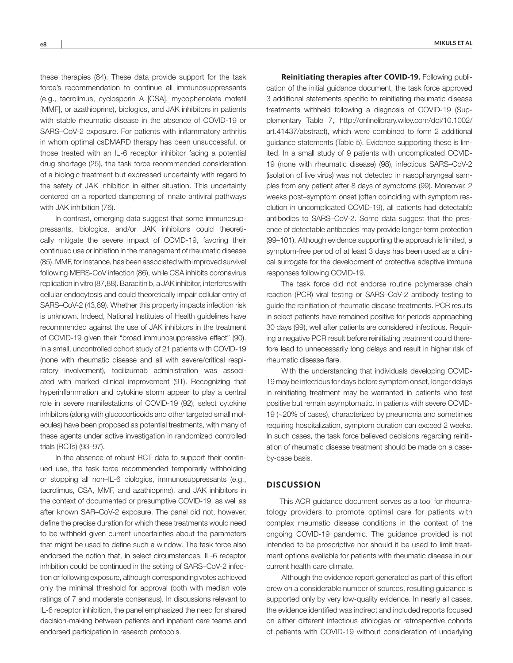these therapies (84). These data provide support for the task force's recommendation to continue all immunosuppressants (e.g., tacrolimus, cyclosporin A [CSA], mycophenolate mofetil [MMF], or azathioprine), biologics, and JAK inhibitors in patients with stable rheumatic disease in the absence of COVID-19 or SARS–CoV-2 exposure. For patients with inflammatory arthritis in whom optimal csDMARD therapy has been unsuccessful, or those treated with an IL-6 receptor inhibitor facing a potential drug shortage (25), the task force recommended consideration of a biologic treatment but expressed uncertainty with regard to the safety of JAK inhibition in either situation. This uncertainty centered on a reported dampening of innate antiviral pathways with JAK inhibition (76).

In contrast, emerging data suggest that some immunosuppressants, biologics, and/or JAK inhibitors could theoretically mitigate the severe impact of COVID-19, favoring their continued use or initiation in the management of rheumatic disease (85). MMF, for instance, has been associated with improved survival following MERS-CoV infection (86), while CSA inhibits coronavirus replication in vitro (87,88). Baracitinib, a JAK inhibitor, interferes with cellular endocytosis and could theoretically impair cellular entry of SARS–CoV-2 (43,89). Whether this property impacts infection risk is unknown. Indeed, National Institutes of Health guidelines have recommended against the use of JAK inhibitors in the treatment of COVID-19 given their "broad immunosuppressive effect" (90). In a small, uncontrolled cohort study of 21 patients with COVID-19 (none with rheumatic disease and all with severe/critical respiratory involvement), tocilizumab administration was associated with marked clinical improvement (91). Recognizing that hyperinflammation and cytokine storm appear to play a central role in severe manifestations of COVID-19 (92), select cytokine inhibitors (along with glucocorticoids and other targeted small molecules) have been proposed as potential treatments, with many of these agents under active investigation in randomized controlled trials (RCTs) (93–97).

In the absence of robust RCT data to support their continued use, the task force recommended temporarily withholding or stopping all non–IL-6 biologics, immunosuppressants (e.g., tacrolimus, CSA, MMF, and azathioprine), and JAK inhibitors in the context of documented or presumptive COVID-19, as well as after known SAR–CoV-2 exposure. The panel did not, however, define the precise duration for which these treatments would need to be withheld given current uncertainties about the parameters that might be used to define such a window. The task force also endorsed the notion that, in select circumstances, IL-6 receptor inhibition could be continued in the setting of SARS–CoV-2 infection or following exposure, although corresponding votes achieved only the minimal threshold for approval (both with median vote ratings of 7 and moderate consensus). In discussions relevant to IL-6 receptor inhibition, the panel emphasized the need for shared decision-making between patients and inpatient care teams and endorsed participation in research protocols.

**Reinitiating therapies after COVID-19.** Following publication of the initial guidance document, the task force approved 3 additional statements specific to reinitiating rheumatic disease treatments withheld following a diagnosis of COVID-19 (Supplementary Table 7, http://onlinelibrary.wiley.com/doi/10.1002/ art.41437/abstract), which were combined to form 2 additional guidance statements (Table 5). Evidence supporting these is limited. In a small study of 9 patients with uncomplicated COVID-19 (none with rheumatic disease) (98), infectious SARS–CoV-2 (isolation of live virus) was not detected in nasopharyngeal samples from any patient after 8 days of symptoms (99). Moreover, 2 weeks post–symptom onset (often coinciding with symptom resolution in uncomplicated COVID-19), all patients had detectable antibodies to SARS–CoV-2. Some data suggest that the presence of detectable antibodies may provide longer-term protection (99–101). Although evidence supporting the approach is limited, a symptom-free period of at least 3 days has been used as a clinical surrogate for the development of protective adaptive immune responses following COVID-19.

The task force did not endorse routine polymerase chain reaction (PCR) viral testing or SARS–CoV-2 antibody testing to guide the reinitiation of rheumatic disease treatments. PCR results in select patients have remained positive for periods approaching 30 days (99), well after patients are considered infectious. Requiring a negative PCR result before reinitiating treatment could therefore lead to unnecessarily long delays and result in higher risk of rheumatic disease flare.

With the understanding that individuals developing COVID-19 may be infectious for days before symptom onset, longer delays in reinitiating treatment may be warranted in patients who test positive but remain asymptomatic. In patients with severe COVID-19 (~20% of cases), characterized by pneumonia and sometimes requiring hospitalization, symptom duration can exceed 2 weeks. In such cases, the task force believed decisions regarding reinitiation of rheumatic disease treatment should be made on a caseby-case basis.

## **DISCUSSION**

This ACR guidance document serves as a tool for rheumatology providers to promote optimal care for patients with complex rheumatic disease conditions in the context of the ongoing COVID-19 pandemic. The guidance provided is not intended to be proscriptive nor should it be used to limit treatment options available for patients with rheumatic disease in our current health care climate.

Although the evidence report generated as part of this effort drew on a considerable number of sources, resulting guidance is supported only by very low-quality evidence. In nearly all cases, the evidence identified was indirect and included reports focused on either different infectious etiologies or retrospective cohorts of patients with COVID-19 without consideration of underlying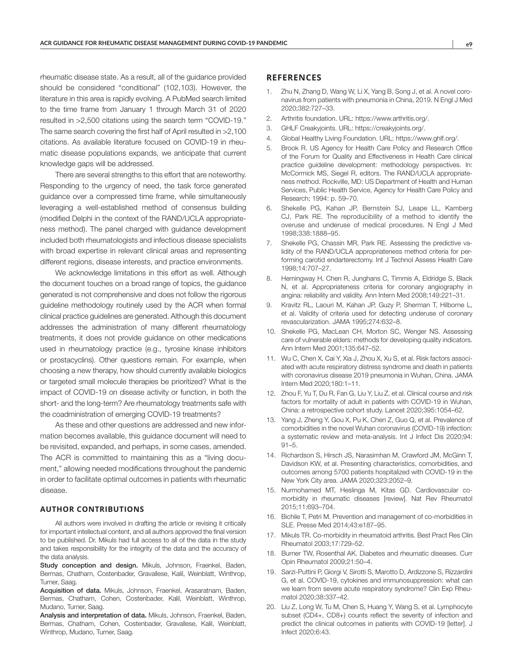rheumatic disease state. As a result, all of the guidance provided should be considered "conditional" (102,103). However, the literature in this area is rapidly evolving. A PubMed search limited to the time frame from January 1 through March 31 of 2020 resulted in >2,500 citations using the search term "COVID-19." The same search covering the first half of April resulted in >2,100 citations. As available literature focused on COVID-19 in rheumatic disease populations expands, we anticipate that current knowledge gaps will be addressed.

There are several strengths to this effort that are noteworthy. Responding to the urgency of need, the task force generated guidance over a compressed time frame, while simultaneously leveraging a well-established method of consensus building (modified Delphi in the context of the RAND/UCLA appropriateness method). The panel charged with guidance development included both rheumatologists and infectious disease specialists with broad expertise in relevant clinical areas and representing different regions, disease interests, and practice environments.

We acknowledge limitations in this effort as well. Although the document touches on a broad range of topics, the guidance generated is not comprehensive and does not follow the rigorous guideline methodology routinely used by the ACR when formal clinical practice guidelines are generated. Although this document addresses the administration of many different rheumatology treatments, it does not provide guidance on other medications used in rheumatology practice (e.g., tyrosine kinase inhibitors or prostacyclins). Other questions remain. For example, when choosing a new therapy, how should currently available biologics or targeted small molecule therapies be prioritized? What is the impact of COVID-19 on disease activity or function, in both the short- and the long-term? Are rheumatology treatments safe with the coadministration of emerging COVID-19 treatments?

As these and other questions are addressed and new information becomes available, this guidance document will need to be revisited, expanded, and perhaps, in some cases, amended. The ACR is committed to maintaining this as a "living document," allowing needed modifications throughout the pandemic in order to facilitate optimal outcomes in patients with rheumatic disease.

#### **AUTHOR CONTRIBUTIONS**

All authors were involved in drafting the article or revising it critically for important intellectual content, and all authors approved the final version to be published. Dr. Mikuls had full access to all of the data in the study and takes responsibility for the integrity of the data and the accuracy of the data analysis.

Study conception and design. Mikuls, Johnson, Fraenkel, Baden, Bermas, Chatham, Costenbader, Gravallese, Kalil, Weinblatt, Winthrop, Turner, Saag.

Acquisition of data. Mikuls, Johnson, Fraenkel, Arasaratnam, Baden, Bermas, Chatham, Cohen, Costenbader, Kalil, Weinblatt, Winthrop, Mudano, Turner, Saag.

Analysis and interpretation of data. Mikuls, Johnson, Fraenkel, Baden, Bermas, Chatham, Cohen, Costenbader, Gravallese, Kalil, Weinblatt, Winthrop, Mudano, Turner, Saag.

# **REFERENCES**

- 1. Zhu N, Zhang D, Wang W, Li X, Yang B, Song J, et al. A novel coronavirus from patients with pneumonia in China, 2019. N Engl J Med 2020;382:727–33.
- 2. Arthritis foundation. URL:<https://www.arthritis.org/>.
- 3. GHLF Creakyjoints. URL: [https://creakyjoints.org/.](https://creakyjoints.org/)
- 4. Global Healthy Living Foundation. URL: [https://www.ghlf.org/.](https://www.ghlf.org/)
- 5. Brook R. US Agency for Health Care Policy and Research Office of the Forum for Quality and Effectiveness in Health Care clinical practice guideline development: methodology perspectives. In: McCormick MS, Siegel R, editors. The RAND/UCLA appropriateness method. Rockville, MD: US Department of Health and Human Services, Public Health Service, Agency for Health Care Policy and Research; 1994: p. 59–70.
- 6. Shekelle PG, Kahan JP, Bernstein SJ, Leape LL, Kamberg CJ, Park RE. The reproducibility of a method to identify the overuse and underuse of medical procedures. N Engl J Med 1998;338:1888–95.
- 7. Shekelle PG, Chassin MR, Park RE. Assessing the predictive validity of the RAND/UCLA appropriateness method criteria for performing carotid endarterectomy. Int J Technol Assess Health Care 1998;14:707–27.
- Hemingway H, Chen R, Junghans C, Timmis A, Eldridge S, Black N, et al. Appropriateness criteria for coronary angiography in angina: reliability and validity. Ann Intern Med 2008;149:221–31.
- 9. Kravitz RL, Laouri M, Kahan JP, Guzy P, Sherman T, Hilborne L, et al. Validity of criteria used for detecting underuse of coronary revascularization. JAMA 1995;274:632–8.
- 10. Shekelle PG, MacLean CH, Morton SC, Wenger NS. Assessing care of vulnerable elders: methods for developing quality indicators. Ann Intern Med 2001;135:647–52.
- 11. Wu C, Chen X, Cai Y, Xia J, Zhou X, Xu S, et al. Risk factors associated with acute respiratory distress syndrome and death in patients with coronavirus disease 2019 pneumonia in Wuhan, China. JAMA Intern Med 2020;180:1–11.
- 12. Zhou F, Yu T, Du R, Fan G, Liu Y, Liu Z, et al. Clinical course and risk factors for mortality of adult in patients with COVID-19 in Wuhan, China: a retrospective cohort study. Lancet 2020;395:1054–62.
- 13. Yang J, Zheng Y, Gou X, Pu K, Chen Z, Guo Q, et al. Prevalence of comorbidities in the novel Wuhan coronavirus (COVID-19) infection: a systematic review and meta-analysis. Int J Infect Dis 2020;94: 91–5.
- 14. Richardson S, Hirsch JS, Narasimhan M, Crawford JM, McGinn T, Davidson KW, et al. Presenting characteristics, comorbidities, and outcomes among 5700 patients hospitalized with COVID-19 in the New York City area. JAMA 2020;323:2052–9.
- 15. Nurmohamed MT, Heslinga M, Kitas GD. Cardiovascular comorbidity in rheumatic diseases [review]. Nat Rev Rheumatol 2015;11:693–704.
- 16. Bichile T, Petri M. Prevention and management of co-morbidities in SLE. Presse Med 2014;43:e187–95.
- 17. Mikuls TR. Co-morbidity in rheumatoid arthritis. Best Pract Res Clin Rheumatol 2003;17:729–52.
- 18. Burner TW, Rosenthal AK. Diabetes and rheumatic diseases. Curr Opin Rheumatol 2009;21:50–4.
- 19. Sarzi-Puttini P, Giorgi V, Sirotti S, Marotto D, Ardizzone S, Rizzardini G, et al. COVID-19, cytokines and immunosuppression: what can we learn from severe acute respiratory syndrome? Clin Exp Rheumatol 2020;38:337–42.
- 20. Liu Z, Long W, Tu M, Chen S, Huang Y, Wang S, et al. Lymphocyte subset (CD4+, CD8+) counts reflect the severity of infection and predict the clinical outcomes in patients with COVID-19 [letter]. J Infect 2020;6:43.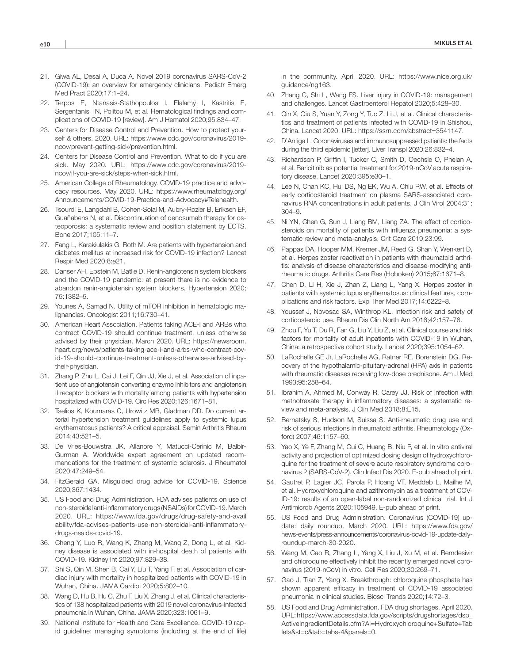- 21. Giwa AL, Desai A, Duca A. Novel 2019 coronavirus SARS-CoV-2 (COVID-19): an overview for emergency clinicians. Pediatr Emerg Med Pract 2020;17:1–24.
- 22. Terpos E, Ntanasis-Stathopoulos I, Elalamy I, Kastritis E, Sergentanis TN, Politou M, et al. Hematological findings and complications of COVID-19 [review]. Am J Hematol 2020;95:834–47.
- 23. Centers for Disease Control and Prevention. How to protect yourself & others. 2020. URL: [https://www.cdc.gov/coronavirus/2019](https://www.cdc.gov/coronavirus/2019-ncov/prevent-getting-sick/prevention.html) [ncov/prevent-getting-sick/prevention.html](https://www.cdc.gov/coronavirus/2019-ncov/prevent-getting-sick/prevention.html).
- 24. Centers for Disease Control and Prevention. What to do if you are sick. May 2020. URL: [https://www.cdc.gov/coronavirus/2019](https://www.cdc.gov/coronavirus/2019-ncov/if-you-are-sick/steps-when-sick.html) [ncov/if-you-are-sick/steps-when-sick.html.](https://www.cdc.gov/coronavirus/2019-ncov/if-you-are-sick/steps-when-sick.html)
- 25. American College of Rheumatology. COVID-19 practice and advocacy resources. May 2020. URL: [https://www.rheumatology.org/](https://www.rheumatology.org/Announcements/COVID-19-Practice-and-Advocacy#Telehealth) [Announcements/COVID-19-Practice-and-Advocacy#Telehealth.](https://www.rheumatology.org/Announcements/COVID-19-Practice-and-Advocacy#Telehealth)
- 26. Tsourdi E, Langdahl B, Cohen-Solal M, Aubry-Rozier B, Eriksen EF, Guañabens N, et al. Discontinuation of denosumab therapy for osteoporosis: a systematic review and position statement by ECTS. Bone 2017;105:11–7.
- 27. Fang L, Karakiulakis G, Roth M. Are patients with hypertension and diabetes mellitus at increased risk for COVID-19 infection? Lancet Respir Med 2020;8:e21.
- 28. Danser AH, Epstein M, Batlle D. Renin-angiotensin system blockers and the COVID-19 pandemic: at present there is no evidence to abandon renin-angiotensin system blockers. Hypertension 2020; 75:1382–5.
- 29. Younes A, Samad N. Utility of mTOR inhibition in hematologic malignancies. Oncologist 2011;16:730–41.
- 30. American Heart Association. Patients taking ACE-i and ARBs who contract COVID-19 should continue treatment, unless otherwise advised by their physician. March 2020. URL: [https://newsroom.](https://newsroom.heart.org/news/patients-taking-ace-i-and-arbs-who-contract-covid-19-should-continue-treatment-unless-otherwise-advised-by-their-physician) [heart.org/news/patients-taking-ace-i-and-arbs-who-contract-cov](https://newsroom.heart.org/news/patients-taking-ace-i-and-arbs-who-contract-covid-19-should-continue-treatment-unless-otherwise-advised-by-their-physician)[id-19-should-continue-treatment-unless-otherwise-advised-by](https://newsroom.heart.org/news/patients-taking-ace-i-and-arbs-who-contract-covid-19-should-continue-treatment-unless-otherwise-advised-by-their-physician)[their-physician](https://newsroom.heart.org/news/patients-taking-ace-i-and-arbs-who-contract-covid-19-should-continue-treatment-unless-otherwise-advised-by-their-physician).
- 31. Zhang P, Zhu L, Cai J, Lei F, Qin JJ, Xie J, et al. Association of inpatient use of angiotensin converting enzyme inhibitors and angiotensin II receptor blockers with mortality among patients with hypertension hospitalized with COVID-19. Circ Res 2020;126:1671–81.
- 32. Tselios K, Koumaras C, Urowitz MB, Gladman DD. Do current arterial hypertension treatment guidelines apply to systemic lupus erythematosus patients? A critical appraisal. Semin Arthritis Rheum 2014;43:521–5.
- 33. De Vries-Bouwstra JK, Allanore Y, Matucci-Cerinic M, Balbir-Gurman A. Worldwide expert agreement on updated recommendations for the treatment of systemic sclerosis. J Rheumatol 2020;47:249–54.
- 34. FitzGerald GA. Misguided drug advice for COVID-19. Science 2020;367:1434.
- 35. US Food and Drug Administration. FDA advises patients on use of non-steroidal anti-inflammatory drugs (NSAIDs) for COVID-19. March 2020. URL: [https://www.fda.gov/drugs/drug-safety-and-avail](https://www.fda.gov/drugs/drug-safety-and-availability/fda-advises-patients-use-non-steroidal-anti-inflammatory-drugs-nsaids-covid-19) [ability/fda-advises-patients-use-non-steroidal-anti-inflammatory](https://www.fda.gov/drugs/drug-safety-and-availability/fda-advises-patients-use-non-steroidal-anti-inflammatory-drugs-nsaids-covid-19)[drugs-nsaids-covid-19.](https://www.fda.gov/drugs/drug-safety-and-availability/fda-advises-patients-use-non-steroidal-anti-inflammatory-drugs-nsaids-covid-19)
- 36. Cheng Y, Luo R, Wang K, Zhang M, Wang Z, Dong L, et al. Kidney disease is associated with in-hospital death of patients with COVID-19. Kidney Int 2020;97:829–38.
- 37. Shi S, Qin M, Shen B, Cai Y, Liu T, Yang F, et al. Association of cardiac injury with mortality in hospitalized patients with COVID-19 in Wuhan, China. JAMA Cardiol 2020;5:802–10.
- 38. Wang D, Hu B, Hu C, Zhu F, Liu X, Zhang J, et al. Clinical characteristics of 138 hospitalized patients with 2019 novel coronavirus-infected pneumonia in Wuhan, China. JAMA 2020;323:1061–9.
- 39. National Institute for Health and Care Excellence. COVID-19 rapid guideline: managing symptoms (including at the end of life)

in the community. April 2020. URL: [https://www.nice.org.uk/](https://www.nice.org.uk/guidance/ng163) [guidance/ng163.](https://www.nice.org.uk/guidance/ng163)

- 40. Zhang C, Shi L, Wang FS. Liver injury in COVID-19: management and challenges. Lancet Gastroenterol Hepatol 2020;5:428–30.
- 41. Qin X, Qiu S, Yuan Y, Zong Y, Tuo Z, Li J, et al. Clinical characteristics and treatment of patients infected with COVID-19 in Shishou, China. Lancet 2020. URL: <https://ssrn.com/abstract=3541147>.
- 42. D'Antiga L. Coronaviruses and immunosuppressed patients: the facts during the third epidemic [letter]. Liver Transpl 2020;26:832–4.
- 43. Richardson P, Griffin I, Tucker C, Smith D, Oechsle O, Phelan A, et al. Baricitinib as potential treatment for 2019-nCoV acute respiratory disease. Lancet 2020;395:e30–1.
- 44. Lee N, Chan KC, Hui DS, Ng EK, Wu A, Chiu RW, et al. Effects of early corticosteroid treatment on plasma SARS-associated coronavirus RNA concentrations in adult patients. J Clin Virol 2004;31: 304–9.
- 45. Ni YN, Chen G, Sun J, Liang BM, Liang ZA. The effect of corticosteroids on mortality of patients with influenza pneumonia: a systematic review and meta-analysis. Crit Care 2019;23:99.
- 46. Pappas DA, Hooper MM, Kremer JM, Reed G, Shan Y, Wenkert D, et al. Herpes zoster reactivation in patients with rheumatoid arthritis: analysis of disease characteristics and disease-modifying antirheumatic drugs. Arthritis Care Res (Hoboken) 2015;67:1671–8.
- 47. Chen D, Li H, Xie J, Zhan Z, Liang L, Yang X. Herpes zoster in patients with systemic lupus erythematosus: clinical features, complications and risk factors. Exp Ther Med 2017;14:6222–8.
- 48. Youssef J, Novosad SA, Winthrop KL. Infection risk and safety of corticosteroid use. Rheum Dis Clin North Am 2016;42:157–76.
- 49. Zhou F, Yu T, Du R, Fan G, Liu Y, Liu Z, et al. Clinical course and risk factors for mortality of adult inpatients with COVID-19 in Wuhan, China: a retrospective cohort study. Lancet 2020;395:1054–62.
- 50. LaRochelle GE Jr, LaRochelle AG, Ratner RE, Borenstein DG. Recovery of the hypothalamic-pituitary-adrenal (HPA) axis in patients with rheumatic diseases receiving low-dose prednisone. Am J Med 1993;95:258–64.
- 51. Ibrahim A, Ahmed M, Conway R, Carey JJ. Risk of infection with methotrexate therapy in inflammatory diseases: a systematic review and meta-analysis. J Clin Med 2018;8:E15.
- 52. Bernatsky S, Hudson M, Suissa S. Anti-rheumatic drug use and risk of serious infections in rheumatoid arthritis. Rheumatology (Oxford) 2007;46:1157–60.
- 53. Yao X, Ye F, Zhang M, Cui C, Huang B, Niu P, et al. In vitro antiviral activity and projection of optimized dosing design of hydroxychloroquine for the treatment of severe acute respiratory syndrome coronavirus 2 (SARS-CoV-2). Clin Infect Dis 2020. E-pub ahead of print.
- 54. Gautret P, Lagier JC, Parola P, Hoang VT, Meddeb L, Mailhe M, et al. Hydroxychloroquine and azithromycin as a treatment of COV-ID-19: results of an open-label non-randomized clinical trial. Int J Antimicrob Agents 2020:105949. E-pub ahead of print.
- 55. US Food and Drug Administration. Coronavirus (COVID-19) update: daily roundup. March 2020. URL: [https://www.fda.gov/](https://www.fda.gov/news-events/press-announcements/coronavirus-covid-19-update-daily-roundup-march-30-2020) [news-events/press-announcements/coronavirus-covid-19-update-daily](https://www.fda.gov/news-events/press-announcements/coronavirus-covid-19-update-daily-roundup-march-30-2020)[roundup-march-30-2020](https://www.fda.gov/news-events/press-announcements/coronavirus-covid-19-update-daily-roundup-march-30-2020).
- 56. Wang M, Cao R, Zhang L, Yang X, Liu J, Xu M, et al. Remdesivir and chloroquine effectively inhibit the recently emerged novel coronavirus (2019-nCoV) in vitro. Cell Res 2020;30:269–71.
- 57. Gao J, Tian Z, Yang X. Breakthrough: chloroquine phosphate has shown apparent efficacy in treatment of COVID-19 associated pneumonia in clinical studies. Biosci Trends 2020;14:72–3.
- 58. US Food and Drug Administration. FDA drug shortages. April 2020. URL: [https://www.accessdata.fda.gov/scripts/drugshortages/dsp\\_](https://www.accessdata.fda.gov/scripts/drugshortages/dsp_ActiveIngredientDetails.cfm?AI=Hydroxychloroquine+Sulfate+Tablets&st=c&tab=tabs-4&panels=0) [ActiveIngredientDetails.cfm?AI=Hydroxychloroquine+Sulfate+Tab](https://www.accessdata.fda.gov/scripts/drugshortages/dsp_ActiveIngredientDetails.cfm?AI=Hydroxychloroquine+Sulfate+Tablets&st=c&tab=tabs-4&panels=0) [lets&st=c&tab=tabs-4&panels=0.](https://www.accessdata.fda.gov/scripts/drugshortages/dsp_ActiveIngredientDetails.cfm?AI=Hydroxychloroquine+Sulfate+Tablets&st=c&tab=tabs-4&panels=0)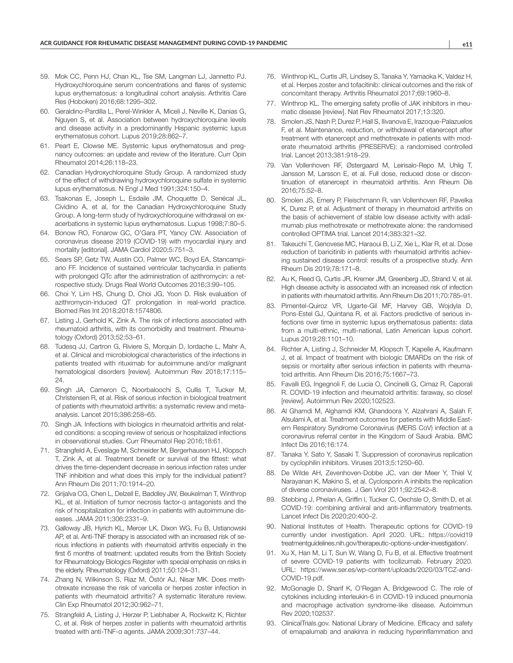- 59. Mok CC, Penn HJ, Chan KL, Tse SM, Langman LJ, Jannetto PJ. Hydroxychloroquine serum concentrations and flares of systemic lupus erythematosus: a longitudinal cohort analysis. Arthritis Care Res (Hoboken) 2016;68:1295–302.
- 60. Geraldino-Pardilla L, Perel-Winkler A, Miceli J, Neville K, Danias G, Nguyen S, et al. Association between hydroxychloroquine levels and disease activity in a predominantly Hispanic systemic lupus erythematosus cohort. Lupus 2019;28:862–7.
- 61. Peart E, Clowse ME. Systemic lupus erythematosus and pregnancy outcomes: an update and review of the literature. Curr Opin Rheumatol 2014;26:118–23.
- 62. Canadian Hydroxychloroquine Study Group. A randomized study of the effect of withdrawing hydroxychloroquine sulfate in systemic lupus erythematosus. N Engl J Med 1991;324:150–4.
- 63. Tsakonas E, Joseph L, Esdaile JM, Choquette D, Senécal JL, Cividino A, et al, for the Canadian Hydroxychloroquine Study Group. A long-term study of hydroxychloroquine withdrawal on exacerbations in systemic lupus erythematosus. Lupus 1998;7:80–5.
- 64. Bonow RO, Fonarow GC, O'Gara PT, Yancy CW. Association of coronavirus disease 2019 (COVID-19) with myocardial injury and mortality [editorial]. JAMA Cardiol 2020;5:751–3.
- 65. Sears SP, Getz TW, Austin CO, Palmer WC, Boyd EA, Stancampiano FF. Incidence of sustained ventricular tachycardia in patients with prolonged QTc after the administration of azithromycin: a retrospective study. Drugs Real World Outcomes 2016;3:99–105.
- 66. Choi Y, Lim HS, Chung D, Choi JG, Yoon D. Risk evaluation of azithromycin-induced QT prolongation in real-world practice. Biomed Res Int 2018;2018:1574806.
- 67. Listing J, Gerhold K, Zink A. The risk of infections associated with rheumatoid arthritis, with its comorbidity and treatment. Rheumatology (Oxford) 2013;52:53–61.
- 68. Tudesq JJ, Cartron G, Riviere S, Morquin D, Iordache L, Mahr A, et al. Clinical and microbiological characteristics of the infections in patients treated with rituximab for autoimmune and/or malignant hematological disorders [review]. Autoimmun Rev 2018;17:115– 24.
- 69. Singh JA, Cameron C, Noorbaloochi S, Cullis T, Tucker M, Christensen R, et al. Risk of serious infection in biological treatment of patients with rheumatoid arthritis: a systematic review and metaanalysis. Lancet 2015;386:258–65.
- 70. Singh JA. Infections with biologics in rheumatoid arthritis and related conditions: a scoping review of serious or hospitalized infections in observational studies. Curr Rheumatol Rep 2016;18:61.
- 71. Strangfeld A, Eveslage M, Schneider M, Bergerhausen HJ, Klopsch T, Zink A, et al. Treatment benefit or survival of the fittest: what drives the time-dependent decrease in serious infection rates under TNF inhibition and what does this imply for the individual patient? Ann Rheum Dis 2011;70:1914–20.
- 72. Grijalva CG, Chen L, Delzell E, Baddley JW, Beukelman T, Winthrop KL, et al. Initiation of tumor necrosis factor-α antagonists and the risk of hospitalization for infection in patients with autoimmune diseases. JAMA 2011;306:2331–9.
- 73. Galloway JB, Hyrich KL, Mercer LK, Dixon WG, Fu B, Ustianowski AP, et al. Anti-TNF therapy is associated with an increased risk of serious infections in patients with rheumatoid arthritis especially in the first 6 months of treatment: updated results from the British Society for Rheumatology Biologics Register with special emphasis on risks in the elderly. Rheumatology (Oxford) 2011;50:124–31.
- 74. Zhang N, Wilkinson S, Riaz M, Östör AJ, Nisar MK. Does methotrexate increase the risk of varicella or herpes zoster infection in patients with rheumatoid arthritis? A systematic literature review. Clin Exp Rheumatol 2012;30:962–71.
- 75. Strangfeld A, Listing J, Herzer P, Liebhaber A, Rockwitz K, Richter C, et al. Risk of herpes zoster in patients with rheumatoid arthritis treated with anti-TNF-ɑ agents. JAMA 2009;301:737–44.
- 76. Winthrop KL, Curtis JR, Lindsey S, Tanaka Y, Yamaoka K, Valdez H, et al. Herpes zoster and tofacitinib: clinical outcomes and the risk of concomitant therapy. Arthritis Rheumatol 2017;69:1960–8.
- 77. Winthrop KL. The emerging safety profile of JAK inhibitors in rheumatic disease [review]. Nat Rev Rheumatol 2017;13:320.
- 78. Smolen JS, Nash P, Durez P, Hall S, Ilivanova E, Irazoque-Palazuelos F, et al. Maintenance, reduction, or withdrawal of etanercept after treatment with etanercept and methotrexate in patients with moderate rheumatoid arthritis (PRESERVE): a randomised controlled trial. Lancet 2013;381:918–29.
- 79. Van Vollenhoven RF, Østergaard M, Leirisalo-Repo M, Uhlig T, Jansson M, Larsson E, et al. Full dose, reduced dose or discontinuation of etanercept in rheumatoid arthritis. Ann Rheum Dis 2016;75:52–8.
- 80. Smolen JS, Emery P, Fleischmann R, van Vollenhoven RF, Pavelka K, Durez P, et al. Adjustment of therapy in rheumatoid arthritis on the basis of achievement of stable low disease activity with adalimumab plus methotrexate or methotrexate alone: the randomised controlled OPTIMA trial. Lancet 2014;383:321–32.
- 81. Takeuchi T, Genovese MC, Haraoui B, Li Z, Xie L, Klar R, et al. Dose reduction of baricitinib in patients with rheumatoid arthritis achieving sustained disease control: results of a prospective study. Ann Rheum Dis 2019;78:171–8.
- 82. Au K, Reed G, Curtis JR, Kremer JM, Greenberg JD, Strand V, et al. High disease activity is associated with an increased risk of infection in patients with rheumatoid arthritis. Ann Rheum Dis 2011;70:785–91.
- 83. Pimentel-Quiroz VR, Ugarte-Gil MF, Harvey GB, Wojdyla D, Pons-Estel GJ, Quintana R, et al. Factors predictive of serious infections over time in systemic lupus erythematosus patients: data from a multi-ethnic, multi-national, Latin American lupus cohort. Lupus 2019;28:1101–10.
- 84. Richter A, Listing J, Schneider M, Klopsch T, Kapelle A, Kaufmann J, et al. Impact of treatment with biologic DMARDs on the risk of sepsis or mortality after serious infection in patients with rheumatoid arthritis. Ann Rheum Dis 2016;75:1667–73.
- 85. Favalli EG, Ingegnoli F, de Lucia O, Cincinelli G, Cimaz R, Caporali R. COVID-19 infection and rheumatoid arthritis: faraway, so close! [review]. Autoimmun Rev 2020;102523.
- 86. Al Ghamdi M, Alghamdi KM, Ghandoora Y, Alzahrani A, Salah F, Alsulami A, et al. Treatment outcomes for patients with Middle Eastern Respiratory Syndrome Coronavirus (MERS CoV) infection at a coronavirus referral center in the Kingdom of Saudi Arabia. BMC Infect Dis 2016;16:174.
- 87. Tanaka Y, Sato Y, Sasaki T. Suppression of coronavirus replication by cyclophilin inhibitors. Viruses 2013;5:1250–60.
- 88. De Wilde AH, Zevenhoven-Dobbe JC, van der Meer Y, Thiel V, Narayanan K, Makino S, et al. Cyclosporin A inhibits the replication of diverse coronaviruses. J Gen Virol 2011;92:2542–8.
- 89. Stebbing J, Phelan A, Griffin I, Tucker C, Oechsle O, Smith D, et al. COVID-19: combining antiviral and anti-inflammatory treatments. Lancet Infect Dis 2020;20:400–2.
- 90. National Institutes of Health. Therapeutic options for COVID-19 currently under investigation. April 2020. URL: [https://covid19](https://covid19treatmentguidelines.nih.gov/therapeutic-options-under-investigation/) [treatmentguidelines.nih.gov/therapeutic-options-under-investigation/.](https://covid19treatmentguidelines.nih.gov/therapeutic-options-under-investigation/)
- 91. Xu X, Han M, Li T, Sun W, Wang D, Fu B, et al. Effective treatment of severe COVID-19 patients with tocilizumab. February 2020. URL: [https://www.ser.es/wp-content/uploads/2020/03/TCZ-and-](https://www.ser.es/wp-content/uploads/2020/03/TCZ-and-COVID-19.pdf)[COVID-19.pdf.](https://www.ser.es/wp-content/uploads/2020/03/TCZ-and-COVID-19.pdf)
- 92. McGonagle D, Sharif K, O'Regan A, Bridgewood C. The role of cytokines including interleukin-6 in COVID-19 induced pneumonia and macrophage activation syndrome-like disease. Autoimmun Rev 2020;102537.
- 93. ClinicalTrials.gov. National Library of Medicine. Efficacy and safety of emapalumab and anakinra in reducing hyperinflammation and